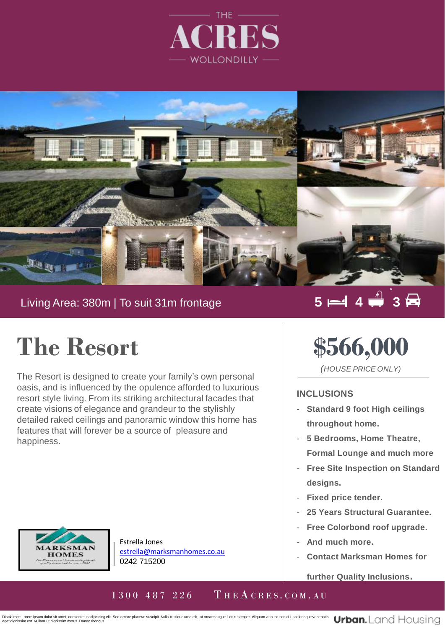



### Living Area: 380m | To suit 31m frontage

### $5 = 4 \div 3$

## **The Resort**

features that will forever be a source of pleasure and The Resort is designed to create your family's own personal oasis, and is influenced by the opulence afforded to luxurious resort style living. From its striking architectural facades that create visions of elegance and grandeur to the stylishly detailed raked ceilings and panoramic window this home has happiness.

# **\$566,000**

*(HOUSE PRICE ONLY)*

#### **INCLUSIONS**

- **Standard 9 foot High ceilings throughout home.**
- **5 Bedrooms, Home Theatre, Formal Lounge and much more**
- **Free Site Inspection on Standard designs.**
- **Fixed price tender.**
- **25 Years Structural Guarantee.**
- **Free Colorbond roof upgrade.**
- **And much more.**
- **Contact Marksman Homes for**

**further Quality Inclusions.**



Estrella Jones [estrella@marksmanhomes.co.au](mailto:estrella@marksmanhomes.co.au) 0242 715200

### 1 3 0 0 4 8 7 2 2 6 THE A CRES. COM. AU